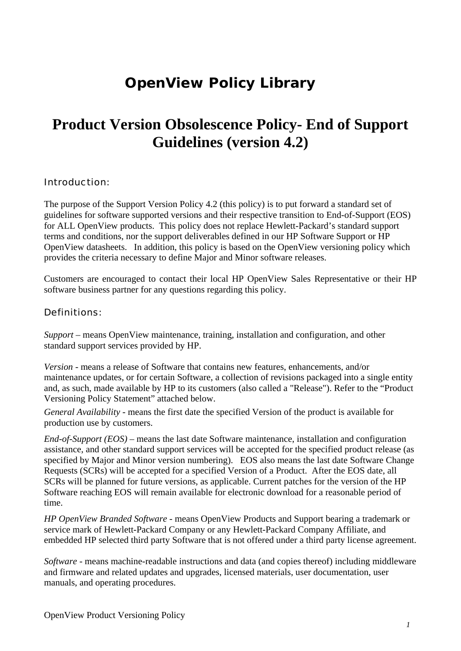# **OpenView Policy Library**

# **Product Version Obsolescence Policy- End of Support Guidelines (version 4.2)**

#### Introduction:

The purpose of the Support Version Policy 4.2 (this policy) is to put forward a standard set of guidelines for software supported versions and their respective transition to End-of-Support (EOS) for ALL OpenView products. This policy does not replace Hewlett-Packard's standard support terms and conditions, nor the support deliverables defined in our HP Software Support or HP OpenView datasheets. In addition, this policy is based on the OpenView versioning policy which provides the criteria necessary to define Major and Minor software releases.

Customers are encouraged to contact their local HP OpenView Sales Representative or their HP software business partner for any questions regarding this policy.

#### Definitions:

*Support* – means OpenView maintenance, training, installation and configuration, and other standard support services provided by HP.

*Version -* means a release of Software that contains new features, enhancements, and/or maintenance updates, or for certain Software, a collection of revisions packaged into a single entity and, as such, made available by HP to its customers (also called a "Release"). Refer to the "Product Versioning Policy Statement" attached below.

*General Availability* - means the first date the specified Version of the product is available for production use by customers.

*End-of-Support (EOS)* – means the last date Software maintenance, installation and configuration assistance, and other standard support services will be accepted for the specified product release (as specified by Major and Minor version numbering). EOS also means the last date Software Change Requests (SCRs) will be accepted for a specified Version of a Product. After the EOS date, all SCRs will be planned for future versions, as applicable. Current patches for the version of the HP Software reaching EOS will remain available for electronic download for a reasonable period of time.

*HP OpenView Branded Software* - means OpenView Products and Support bearing a trademark or service mark of Hewlett-Packard Company or any Hewlett-Packard Company Affiliate, and embedded HP selected third party Software that is not offered under a third party license agreement.

*Software* - means machine-readable instructions and data (and copies thereof) including middleware and firmware and related updates and upgrades, licensed materials, user documentation, user manuals, and operating procedures.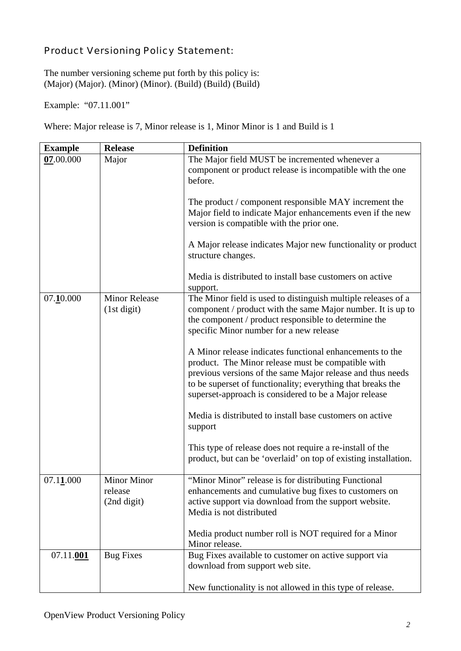## Product Versioning Policy Statement:

The number versioning scheme put forth by this policy is: (Major) (Major). (Minor) (Minor). (Build) (Build) (Build)

Example: "07.11.001"

Where: Major release is 7, Minor release is 1, Minor Minor is 1 and Build is 1

| <b>Example</b> | <b>Release</b>                        | <b>Definition</b>                                                                                                                                                                                                                                                                                    |
|----------------|---------------------------------------|------------------------------------------------------------------------------------------------------------------------------------------------------------------------------------------------------------------------------------------------------------------------------------------------------|
| 07.00.000      | Major                                 | The Major field MUST be incremented whenever a<br>component or product release is incompatible with the one<br>before.<br>The product / component responsible MAY increment the                                                                                                                      |
|                |                                       | Major field to indicate Major enhancements even if the new<br>version is compatible with the prior one.                                                                                                                                                                                              |
|                |                                       | A Major release indicates Major new functionality or product<br>structure changes.                                                                                                                                                                                                                   |
|                |                                       | Media is distributed to install base customers on active<br>support.                                                                                                                                                                                                                                 |
| 07.10.000      | <b>Minor Release</b><br>(1st digit)   | The Minor field is used to distinguish multiple releases of a<br>component / product with the same Major number. It is up to<br>the component / product responsible to determine the<br>specific Minor number for a new release                                                                      |
|                |                                       | A Minor release indicates functional enhancements to the<br>product. The Minor release must be compatible with<br>previous versions of the same Major release and thus needs<br>to be superset of functionality; everything that breaks the<br>superset-approach is considered to be a Major release |
|                |                                       | Media is distributed to install base customers on active<br>support                                                                                                                                                                                                                                  |
|                |                                       | This type of release does not require a re-install of the<br>product, but can be 'overlaid' on top of existing installation.                                                                                                                                                                         |
| 07.11000       | Minor Minor<br>release<br>(2nd digit) | "Minor Minor" release is for distributing Functional<br>enhancements and cumulative bug fixes to customers on<br>active support via download from the support website.<br>Media is not distributed                                                                                                   |
|                |                                       | Media product number roll is NOT required for a Minor<br>Minor release.                                                                                                                                                                                                                              |
| 07.11.001      | <b>Bug Fixes</b>                      | Bug Fixes available to customer on active support via<br>download from support web site.                                                                                                                                                                                                             |
|                |                                       | New functionality is not allowed in this type of release.                                                                                                                                                                                                                                            |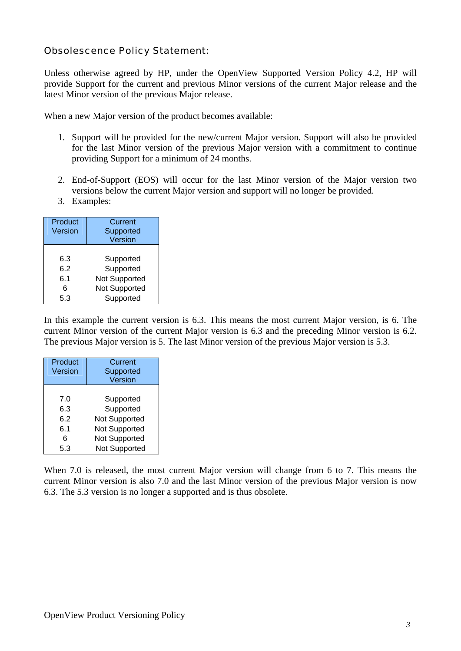### Obsolescence Policy Statement:

Unless otherwise agreed by HP, under the OpenView Supported Version Policy 4.2, HP will provide Support for the current and previous Minor versions of the current Major release and the latest Minor version of the previous Major release.

When a new Major version of the product becomes available:

- 1. Support will be provided for the new/current Major version. Support will also be provided for the last Minor version of the previous Major version with a commitment to continue providing Support for a minimum of 24 months.
- 2. End-of-Support (EOS) will occur for the last Minor version of the Major version two versions below the current Major version and support will no longer be provided.
- 3. Examples:

| Product<br>Version | Current<br>Supported<br>Version |
|--------------------|---------------------------------|
| 6.3                | Supported                       |
| 6.2                | Supported                       |
| 6.1                | Not Supported                   |
| 6                  | Not Supported                   |
| 5.3                | Supported                       |

In this example the current version is 6.3. This means the most current Major version, is 6. The current Minor version of the current Major version is 6.3 and the preceding Minor version is 6.2. The previous Major version is 5. The last Minor version of the previous Major version is 5.3.

| Product<br>Version | <b>Current</b><br>Supported<br>Version |
|--------------------|----------------------------------------|
|                    |                                        |
| 7.0                | Supported                              |
| 6.3                | Supported                              |
| 6.2                | <b>Not Supported</b>                   |
| 6.1                | Not Supported                          |
| 6                  | <b>Not Supported</b>                   |
| 5.3                | <b>Not Supported</b>                   |

When 7.0 is released, the most current Major version will change from 6 to 7. This means the current Minor version is also 7.0 and the last Minor version of the previous Major version is now 6.3. The 5.3 version is no longer a supported and is thus obsolete.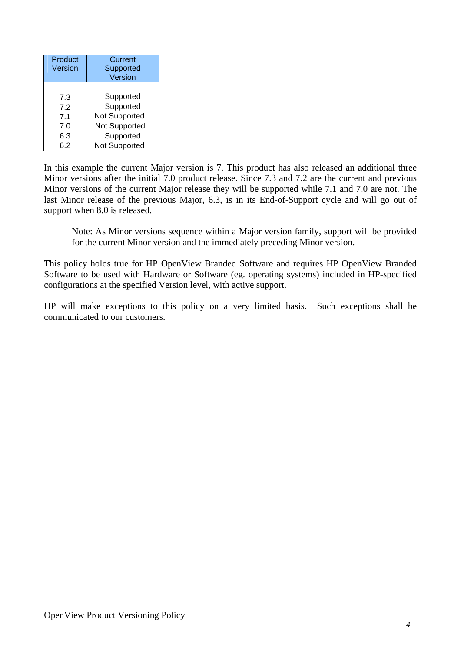| Product<br>Version | Current<br>Supported<br>Version |
|--------------------|---------------------------------|
|                    |                                 |
| 7.3                | Supported                       |
| 72                 | Supported                       |
| 7.1                | Not Supported                   |
| 7.0                | Not Supported                   |
| 6.3                | Supported                       |
| 6.2                | <b>Not Supported</b>            |

In this example the current Major version is 7. This product has also released an additional three Minor versions after the initial 7.0 product release. Since 7.3 and 7.2 are the current and previous Minor versions of the current Major release they will be supported while 7.1 and 7.0 are not. The last Minor release of the previous Major, 6.3, is in its End-of-Support cycle and will go out of support when 8.0 is released.

Note: As Minor versions sequence within a Major version family, support will be provided for the current Minor version and the immediately preceding Minor version.

This policy holds true for HP OpenView Branded Software and requires HP OpenView Branded Software to be used with Hardware or Software (eg. operating systems) included in HP-specified configurations at the specified Version level, with active support.

HP will make exceptions to this policy on a very limited basis. Such exceptions shall be communicated to our customers.